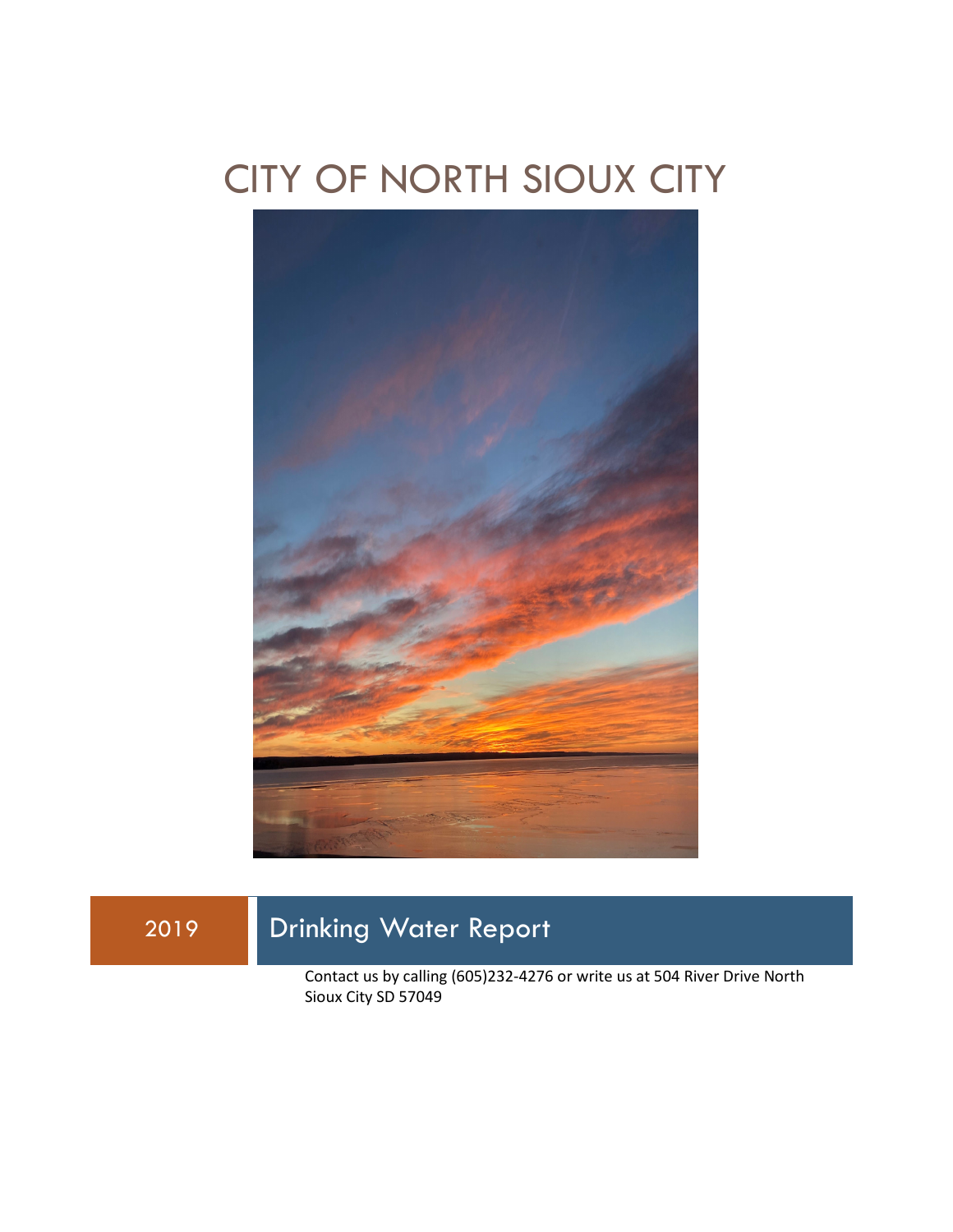## CITY OF NORTH SIOUX CITY



### 2019 Drinking Water Report

Contact us by calling (605)232-4276 or write us at 504 River Drive North Sioux City SD 57049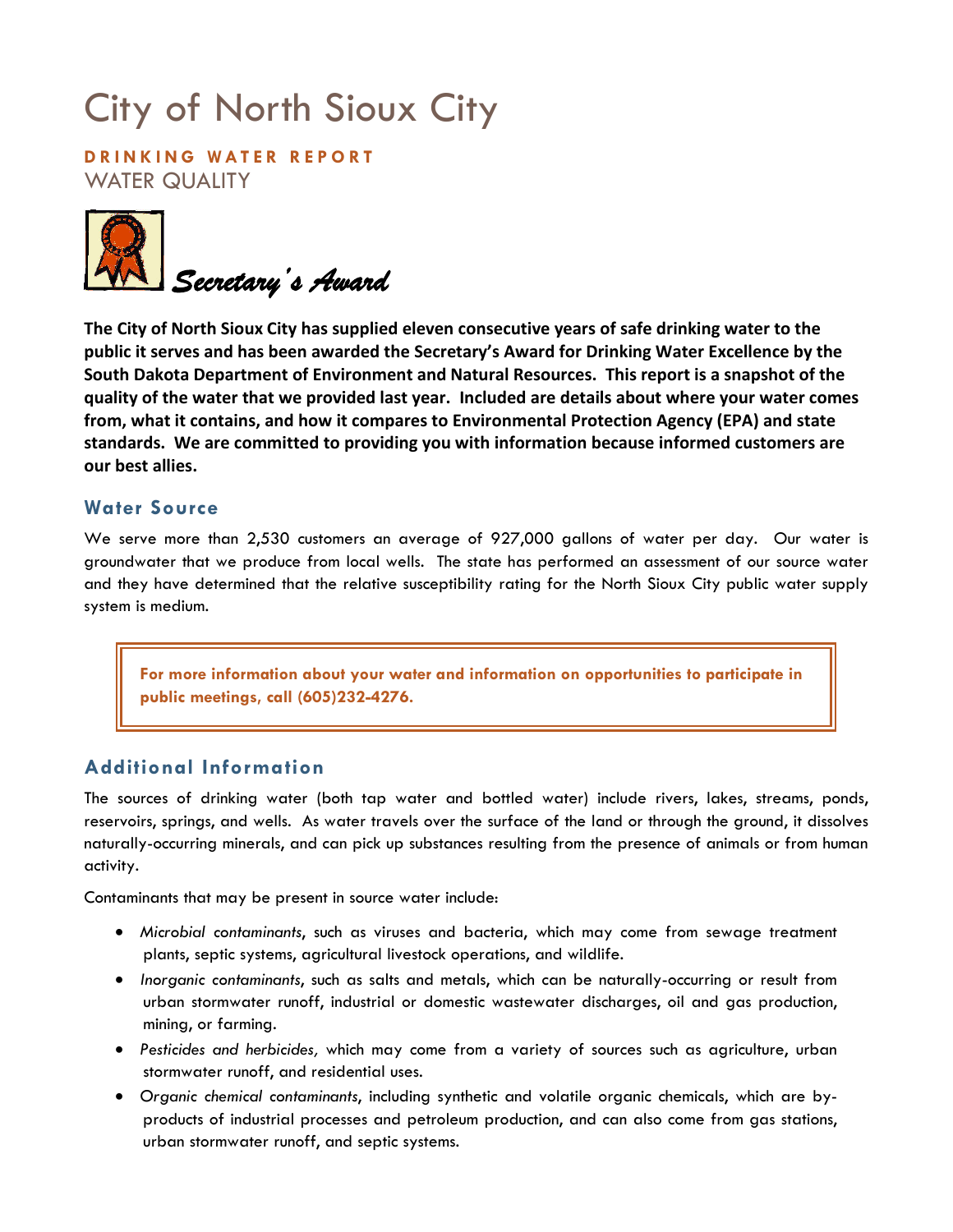# City of North Sioux City

**DRINKING WATER REPORT** WATER QUALITY



**The City of North Sioux City has supplied eleven consecutive years of safe drinking water to the public it serves and has been awarded the Secretary's Award for Drinking Water Excellence by the South Dakota Department of Environment and Natural Resources. This report is a snapshot of the quality of the water that we provided last year. Included are details about where your water comes from, what it contains, and how it compares to Environmental Protection Agency (EPA) and state standards. We are committed to providing you with information because informed customers are our best allies.**

#### **Water Source**

We serve more than 2,530 customers an average of 927,000 gallons of water per day. Our water is groundwater that we produce from local wells. The state has performed an assessment of our source water and they have determined that the relative susceptibility rating for the North Sioux City public water supply system is medium.

**For more information about your water and information on opportunities to participate in public meetings, call (605)232-4276.**

#### **Additional Information**

The sources of drinking water (both tap water and bottled water) include rivers, lakes, streams, ponds, reservoirs, springs, and wells. As water travels over the surface of the land or through the ground, it dissolves naturally-occurring minerals, and can pick up substances resulting from the presence of animals or from human activity.

Contaminants that may be present in source water include:

- *Microbial contaminants*, such as viruses and bacteria, which may come from sewage treatment plants, septic systems, agricultural livestock operations, and wildlife.
- *Inorganic contaminants*, such as salts and metals, which can be naturally-occurring or result from urban stormwater runoff, industrial or domestic wastewater discharges, oil and gas production, mining, or farming.
- *Pesticides and herbicides,* which may come from a variety of sources such as agriculture, urban stormwater runoff, and residential uses.
- *Organic chemical contaminants*, including synthetic and volatile organic chemicals, which are byproducts of industrial processes and petroleum production, and can also come from gas stations, urban stormwater runoff, and septic systems.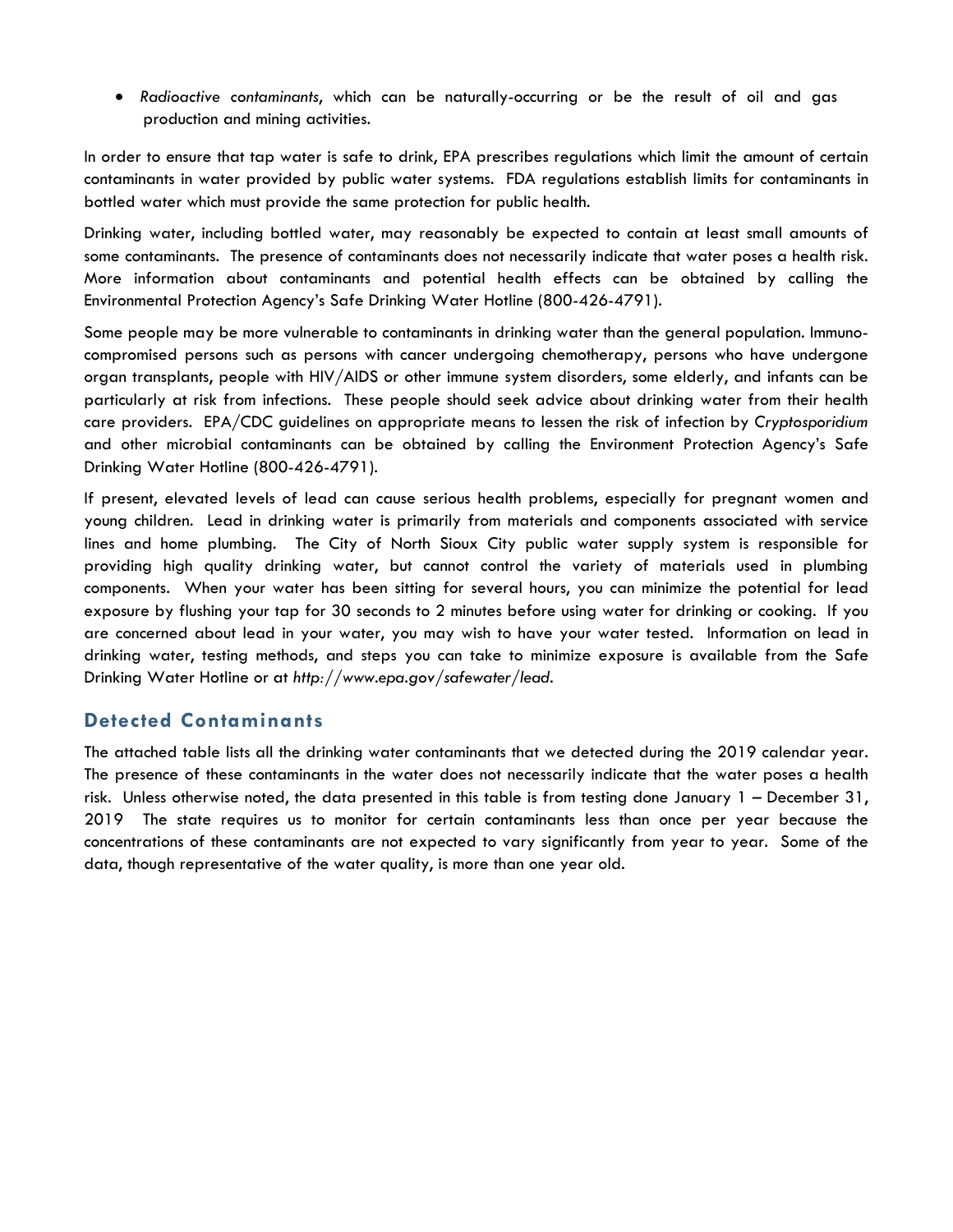• *Radioactive contaminants*, which can be naturally-occurring or be the result of oil and gas production and mining activities.

In order to ensure that tap water is safe to drink, EPA prescribes regulations which limit the amount of certain contaminants in water provided by public water systems. FDA regulations establish limits for contaminants in bottled water which must provide the same protection for public health.

Drinking water, including bottled water, may reasonably be expected to contain at least small amounts of some contaminants. The presence of contaminants does not necessarily indicate that water poses a health risk. More information about contaminants and potential health effects can be obtained by calling the Environmental Protection Agency's Safe Drinking Water Hotline (800-426-4791).

Some people may be more vulnerable to contaminants in drinking water than the general population. Immunocompromised persons such as persons with cancer undergoing chemotherapy, persons who have undergone organ transplants, people with HIV/AIDS or other immune system disorders, some elderly, and infants can be particularly at risk from infections. These people should seek advice about drinking water from their health care providers. EPA/CDC guidelines on appropriate means to lessen the risk of infection by *Cryptosporidium* and other microbial contaminants can be obtained by calling the Environment Protection Agency's Safe Drinking Water Hotline (800-426-4791).

If present, elevated levels of lead can cause serious health problems, especially for pregnant women and young children. Lead in drinking water is primarily from materials and components associated with service lines and home plumbing. The City of North Sioux City public water supply system is responsible for providing high quality drinking water, but cannot control the variety of materials used in plumbing components. When your water has been sitting for several hours, you can minimize the potential for lead exposure by flushing your tap for 30 seconds to 2 minutes before using water for drinking or cooking. If you are concerned about lead in your water, you may wish to have your water tested. Information on lead in drinking water, testing methods, and steps you can take to minimize exposure is available from the Safe Drinking Water Hotline or at *http://www.epa.gov/safewater/lead*.

#### **Detected Contaminants**

The attached table lists all the drinking water contaminants that we detected during the 2019 calendar year. The presence of these contaminants in the water does not necessarily indicate that the water poses a health risk. Unless otherwise noted, the data presented in this table is from testing done January 1 – December 31, 2019 The state requires us to monitor for certain contaminants less than once per year because the concentrations of these contaminants are not expected to vary significantly from year to year. Some of the data, though representative of the water quality, is more than one year old.